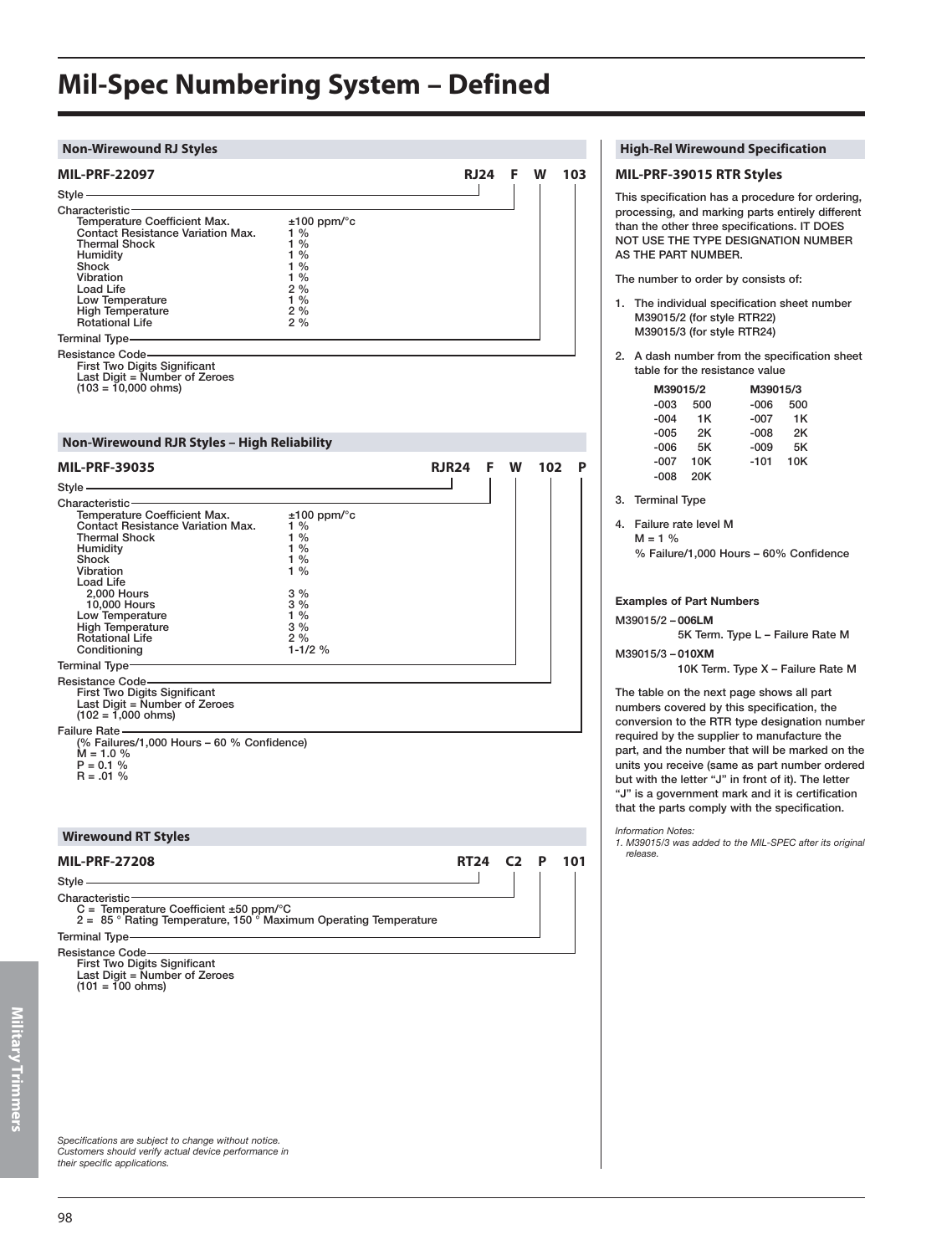### **Mil-Spec Numbering System – Defined**

#### **Non-Wirewound RJ Styles High-Rel Wirewound Specification**

| <b>MIL-PRF-22097</b>                                                                                                                                                                                                                |                                                                                  | <b>RJ24</b> | F | w | 103 |
|-------------------------------------------------------------------------------------------------------------------------------------------------------------------------------------------------------------------------------------|----------------------------------------------------------------------------------|-------------|---|---|-----|
| Style -                                                                                                                                                                                                                             |                                                                                  |             |   |   |     |
| Characteristic-<br>Temperature Coefficient Max.<br><b>Contact Resistance Variation Max.</b><br><b>Thermal Shock</b><br>Humidity<br>Shock<br>Vibration<br>Load Life<br>Low Temperature<br><b>High Temperature</b><br>Rotational Life | $±100$ ppm/ $\degree$ c<br>$1\%$<br>1%<br>1%<br>1%<br>1%<br>2%<br>1%<br>2%<br>2% |             |   |   |     |
| Terminal Type-                                                                                                                                                                                                                      |                                                                                  |             |   |   |     |
| <b>Resistance Code-</b><br><b>First Two Digits Significant</b><br>Last Digit = Number of Zeroes<br>$(103 = 10,000 ohms)$                                                                                                            |                                                                                  |             |   |   |     |

#### **Non-Wirewound RJR Styles – High Reliability**

| <b>MIL-PRF-39035</b>                                                                                                                                                                                                                                                                         |                                                                                                                         | RJR24       | F | W              | 102 | P   |
|----------------------------------------------------------------------------------------------------------------------------------------------------------------------------------------------------------------------------------------------------------------------------------------------|-------------------------------------------------------------------------------------------------------------------------|-------------|---|----------------|-----|-----|
| and the control of the control of the control of the control of the control of the control of the control of the<br>Style —                                                                                                                                                                  |                                                                                                                         |             |   |                |     |     |
| $Characteristic -$<br>Temperature Coefficient Max.<br><b>Contact Resistance Variation Max.</b><br><b>Thermal Shock</b><br>Humidity<br>Shock<br>Vibration<br>Load Life<br>2,000 Hours<br>10,000 Hours<br>Low Temperature<br><b>High Temperature</b><br><b>Rotational Life</b><br>Conditioning | $±100$ ppm/ $\degree$ c<br>$1\%$<br>$1\%$<br>$1\%$<br>$1\%$<br>$1\%$<br>3%<br>$3\%$<br>$1\%$<br>3%<br>2%<br>$1 - 1/2$ % |             |   |                |     |     |
| Terminal Type-                                                                                                                                                                                                                                                                               |                                                                                                                         |             |   |                |     |     |
| Resistance Code ——<br>First Two Digits Significant<br>Last Digit = Number of Zeroes<br>$(102 = 1,000 \text{ ohms})$                                                                                                                                                                          |                                                                                                                         |             |   |                |     |     |
| Failure Rate —<br>(% Failures/1,000 Hours - 60 % Confidence)<br>$M = 1.0 %$<br>$P = 0.1 %$<br>$R = .01 \%$                                                                                                                                                                                   |                                                                                                                         |             |   |                |     |     |
| <b>Wirewound RT Styles</b>                                                                                                                                                                                                                                                                   |                                                                                                                         |             |   |                |     |     |
| <b>MIL-PRF-27208</b><br>$Style$ —                                                                                                                                                                                                                                                            |                                                                                                                         | <b>RT24</b> |   | C <sub>2</sub> | P   | 101 |

Characteristic:

C = Temperature Coefficient ±50 ppm/°C 2 = 85 ° Rating Temperature, 150 ° Maximum Operating Temperature

### Terminal Type

Resistance Code First Two Digits Significant Last Digit = Number of Zeroes  $(101 = 100 \text{ ohms})$ 

### **MIL-PRF-39015 RTR Styles** This specification has a procedure for ordering,

processing, and marking parts entirely different than the other three specifications. IT DOES NOT USE THE TYPE DESIGNATION NUMBER AS THE PART NUMBER.

The number to order by consists of:

- 1. The individual specification sheet number M39015/2 (for style RTR22) M39015/3 (for style RTR24)
- 2. A dash number from the specification sheet table for the resistance value

| M39015/2 |     |        | M39015/3 |  |  |
|----------|-----|--------|----------|--|--|
| -003     | 500 | -006   | 500      |  |  |
| $-004$   | 1K  | -007   | 1K       |  |  |
| $-005$   | 2Κ  | $-008$ | 2Κ       |  |  |
| $-006$   | 5Κ  | -009   | 5Κ       |  |  |
| $-007$   | 10K | $-101$ | 10K      |  |  |
| -008     | 20K |        |          |  |  |

3. Terminal Type

4. Failure rate level M  $M = 1 %$ 

% Failure/1,000 Hours – 60% Confidence

#### **Examples of Part Numbers**

#### M39015/2 – **006LM**

5K Term. Type L – Failure Rate M M39015/3 – **010XM**

10K Term. Type X – Failure Rate M

The table on the next page shows all part numbers covered by this specification, the conversion to the RTR type designation number required by the supplier to manufacture the part, and the number that will be marked on the units you receive (same as part number ordered but with the letter "J" in front of it). The letter "J" is a government mark and it is certification that the parts comply with the specification.

#### *Information Notes:*

*1. M39015/3 was added to the MIL-SPEC after its original release.*

*Specifications are subject to change without notice. Customers should verify actual device performance in their specific applications.*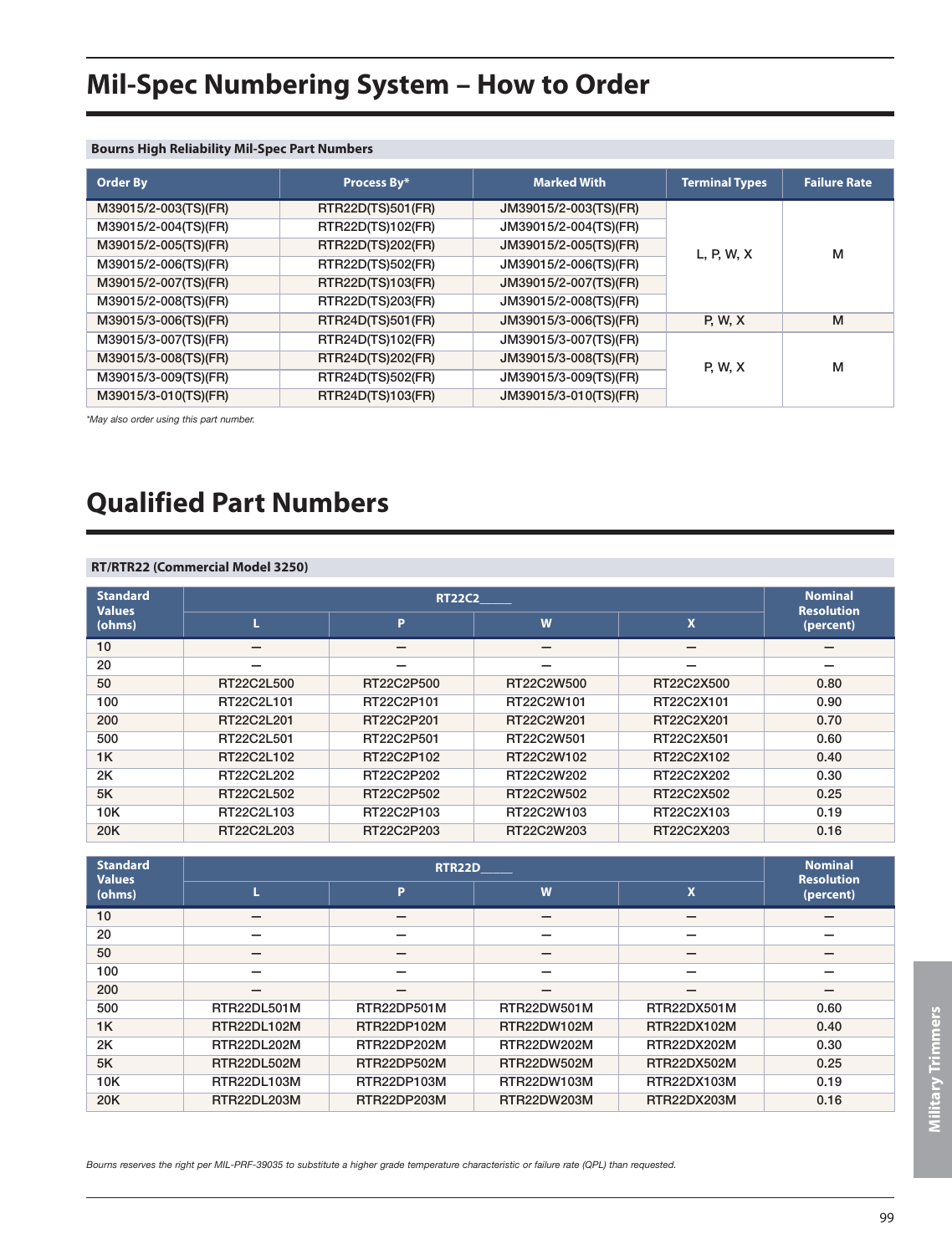## **Mil-Spec Numbering System – How to Order**

#### **Bourns High Reliability Mil-Spec Part Numbers**

| <b>Order By</b>      | Process By*       | <b>Marked With</b>    | <b>Terminal Types</b> | <b>Failure Rate</b> |
|----------------------|-------------------|-----------------------|-----------------------|---------------------|
| M39015/2-003(TS)(FR) | RTR22D(TS)501(FR) | JM39015/2-003(TS)(FR) |                       |                     |
| M39015/2-004(TS)(FR) | RTR22D(TS)102(FR) | JM39015/2-004(TS)(FR) |                       |                     |
| M39015/2-005(TS)(FR) | RTR22D(TS)202(FR) | JM39015/2-005(TS)(FR) | L, P, W, X            | м                   |
| M39015/2-006(TS)(FR) | RTR22D(TS)502(FR) | JM39015/2-006(TS)(FR) |                       |                     |
| M39015/2-007(TS)(FR) | RTR22D(TS)103(FR) | JM39015/2-007(TS)(FR) |                       |                     |
| M39015/2-008(TS)(FR) | RTR22D(TS)203(FR) | JM39015/2-008(TS)(FR) |                       |                     |
| M39015/3-006(TS)(FR) | RTR24D(TS)501(FR) | JM39015/3-006(TS)(FR) | <b>P. W. X</b>        | M                   |
| M39015/3-007(TS)(FR) | RTR24D(TS)102(FR) | JM39015/3-007(TS)(FR) |                       |                     |
| M39015/3-008(TS)(FR) | RTR24D(TS)202(FR) | JM39015/3-008(TS)(FR) | <b>P. W. X</b>        | м                   |
| M39015/3-009(TS)(FR) | RTR24D(TS)502(FR) | JM39015/3-009(TS)(FR) |                       |                     |
| M39015/3-010(TS)(FR) | RTR24D(TS)103(FR) | JM39015/3-010(TS)(FR) |                       |                     |

*\*May also order using this part number.*

### **Qualified Part Numbers**

#### **RT/RTR22 (Commercial Model 3250)**

| <b>Standard</b><br><b>Values</b> |            | <b>RT22C2</b> |            | <b>Nominal</b><br><b>Resolution</b> |           |
|----------------------------------|------------|---------------|------------|-------------------------------------|-----------|
| (ohms)                           | L          | P             | W          | $\boldsymbol{\mathsf{x}}$           | (percent) |
| 10                               | –          |               | –          |                                     |           |
| 20                               |            |               |            |                                     |           |
| 50                               | RT22C2L500 | RT22C2P500    | RT22C2W500 | RT22C2X500                          | 0.80      |
| 100                              | RT22C2L101 | RT22C2P101    | RT22C2W101 | RT22C2X101                          | 0.90      |
| 200                              | RT22C2L201 | RT22C2P201    | RT22C2W201 | RT22C2X201                          | 0.70      |
| 500                              | RT22C2L501 | RT22C2P501    | RT22C2W501 | RT22C2X501                          | 0.60      |
| 1K                               | RT22C2L102 | RT22C2P102    | RT22C2W102 | RT22C2X102                          | 0.40      |
| 2K                               | RT22C2L202 | RT22C2P202    | RT22C2W202 | RT22C2X202                          | 0.30      |
| 5K                               | RT22C2L502 | RT22C2P502    | RT22C2W502 | RT22C2X502                          | 0.25      |
| 10K                              | RT22C2L103 | RT22C2P103    | RT22C2W103 | RT22C2X103                          | 0.19      |
| 20K                              | RT22C2L203 | RT22C2P203    | RT22C2W203 | RT22C2X203                          | 0.16      |

| <b>Standard</b><br><b>Values</b> |             | <b>Nominal</b><br><b>Resolution</b> |                    |                    |           |
|----------------------------------|-------------|-------------------------------------|--------------------|--------------------|-----------|
| (ohms)                           |             | P                                   | W                  | <b>X</b>           | (percent) |
| 10                               |             | –                                   |                    | –                  | –         |
| 20                               |             |                                     |                    |                    |           |
| 50                               |             |                                     |                    |                    |           |
| 100                              |             |                                     |                    |                    |           |
| 200                              |             |                                     |                    |                    | –         |
| 500                              | RTR22DL501M | RTR22DP501M                         | RTR22DW501M        | RTR22DX501M        | 0.60      |
| 1K                               | RTR22DL102M | RTR22DP102M                         | RTR22DW102M        | <b>RTR22DX102M</b> | 0.40      |
| 2K                               | RTR22DL202M | RTR22DP202M                         | RTR22DW202M        | RTR22DX202M        | 0.30      |
| 5K                               | RTR22DL502M | RTR22DP502M                         | <b>RTR22DW502M</b> | <b>RTR22DX502M</b> | 0.25      |
| 10K                              | RTR22DL103M | RTR22DP103M                         | RTR22DW103M        | RTR22DX103M        | 0.19      |
| 20K                              | RTR22DL203M | RTR22DP203M                         | RTR22DW203M        | RTR22DX203M        | 0.16      |

*Bourns reserves the right per MIL-PRF-39035 to substitute a higher grade temperature characteristic or failure rate (QPL) than requested.*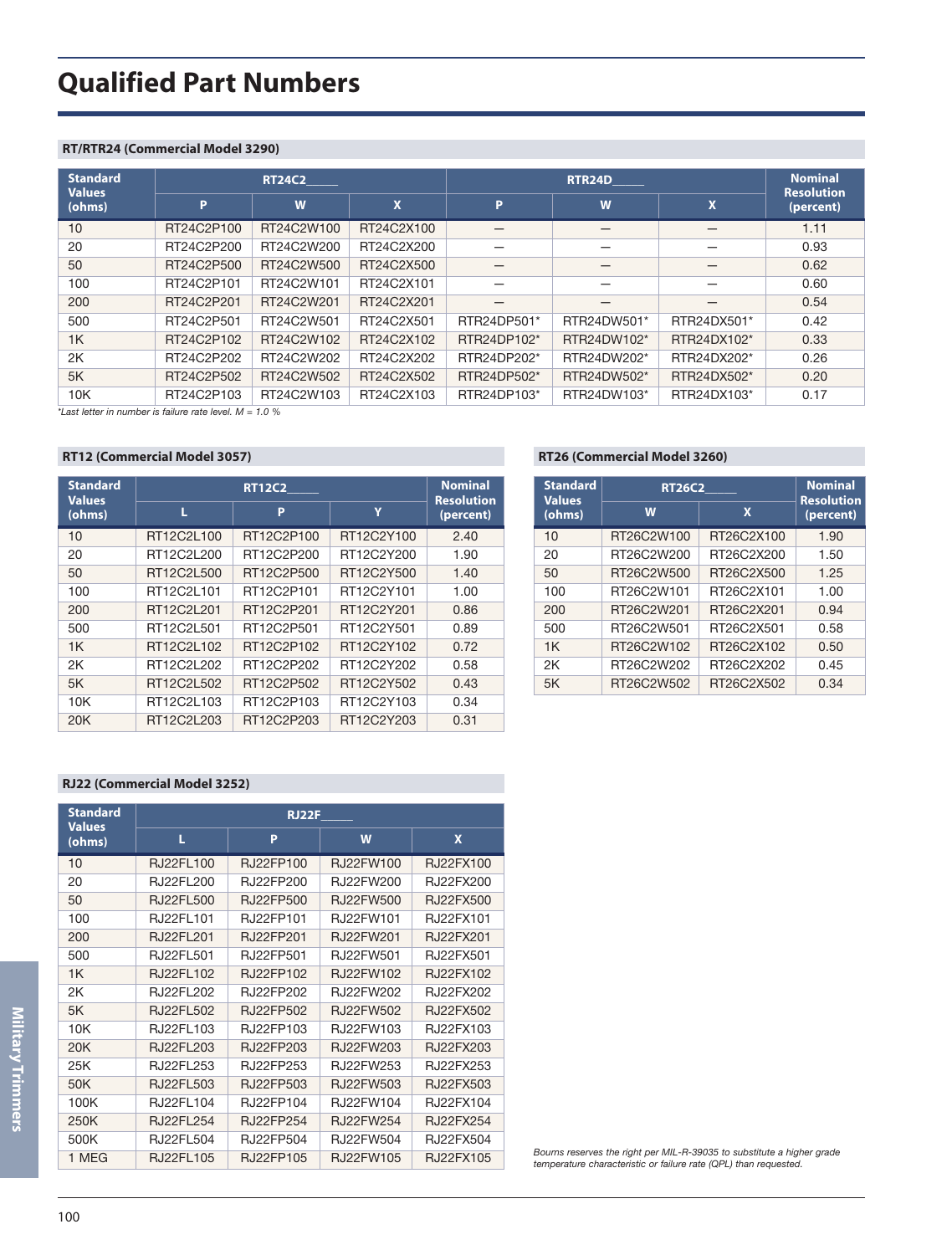## **Qualified Part Numbers**

#### **RT/RTR24 (Commercial Model 3290)**

| <b>Standard</b><br><b>Values</b> |            | <b>RT24C2</b> |            | <b>RTR24D</b> |             |                           | <b>Nominal</b><br><b>Resolution</b> |
|----------------------------------|------------|---------------|------------|---------------|-------------|---------------------------|-------------------------------------|
| (ohms)                           | D          | W             | X          | P             | W           | $\boldsymbol{\mathsf{x}}$ | (percent)                           |
| 10                               | RT24C2P100 | RT24C2W100    | RT24C2X100 |               |             | –                         | 1.11                                |
| 20                               | RT24C2P200 | RT24C2W200    | RT24C2X200 |               |             |                           | 0.93                                |
| 50                               | RT24C2P500 | RT24C2W500    | RT24C2X500 |               |             | –                         | 0.62                                |
| 100                              | RT24C2P101 | RT24C2W101    | RT24C2X101 |               |             |                           | 0.60                                |
| 200                              | RT24C2P201 | RT24C2W201    | RT24C2X201 |               | _           |                           | 0.54                                |
| 500                              | RT24C2P501 | RT24C2W501    | RT24C2X501 | RTR24DP501*   | RTR24DW501* | RTR24DX501*               | 0.42                                |
| 1K                               | RT24C2P102 | RT24C2W102    | RT24C2X102 | RTR24DP102*   | RTR24DW102* | RTR24DX102*               | 0.33                                |
| 2K                               | RT24C2P202 | RT24C2W202    | RT24C2X202 | RTR24DP202*   | RTR24DW202* | RTR24DX202*               | 0.26                                |
| 5K                               | RT24C2P502 | RT24C2W502    | RT24C2X502 | RTR24DP502*   | RTR24DW502* | RTR24DX502*               | 0.20                                |
| 10K                              | RT24C2P103 | RT24C2W103    | RT24C2X103 | RTR24DP103*   | RTR24DW103* | RTR24DX103*               | 0.17                                |

*\*Last letter in number is failure rate level. M = 1.0 %*

#### **RT12 (Commercial Model 3057)**

| <b>Standard</b><br><b>Values</b> | <b>RT12C2</b> |            |            | <b>Nominal</b><br><b>Resolution</b> |
|----------------------------------|---------------|------------|------------|-------------------------------------|
| (ohms)                           | L             | P          | Ÿ          | (percent)                           |
| 10                               | RT12C2L100    | RT12C2P100 | RT12C2Y100 | 2.40                                |
| 20                               | RT12C2L200    | RT12C2P200 | RT12C2Y200 | 1.90                                |
| 50                               | RT12C2L500    | RT12C2P500 | RT12C2Y500 | 1.40                                |
| 100                              | RT12C2L101    | RT12C2P101 | RT12C2Y101 | 1.00                                |
| 200                              | RT12C2L201    | RT12C2P201 | RT12C2Y201 | 0.86                                |
| 500                              | RT12C2L501    | RT12C2P501 | RT12C2Y501 | 0.89                                |
| 1 <sub>K</sub>                   | RT12C2L102    | RT12C2P102 | RT12C2Y102 | 0.72                                |
| 2K                               | RT12C2L202    | RT12C2P202 | RT12C2Y202 | 0.58                                |
| 5K                               | RT12C2L502    | RT12C2P502 | RT12C2Y502 | 0.43                                |
| 10K                              | RT12C2L103    | RT12C2P103 | RT12C2Y103 | 0.34                                |
| 20K                              | RT12C2L203    | RT12C2P203 | RT12C2Y203 | 0.31                                |

#### **RT26 (Commercial Model 3260)**

| <b>Standard</b><br><b>Values</b> | <b>RT26C2</b> | <b>Nominal</b><br><b>Resolution</b> |           |
|----------------------------------|---------------|-------------------------------------|-----------|
| (ohms)                           | W             | X                                   | (percent) |
| 10                               | RT26C2W100    | RT26C2X100                          | 1.90      |
| 20                               | RT26C2W200    | RT26C2X200                          | 1.50      |
| 50                               | RT26C2W500    | RT26C2X500                          | 1.25      |
| 100                              | RT26C2W101    | RT26C2X101                          | 1.00      |
| 200                              | RT26C2W201    | RT26C2X201                          | 0.94      |
| 500                              | RT26C2W501    | RT26C2X501                          | 0.58      |
| 1K                               | RT26C2W102    | RT26C2X102                          | 0.50      |
| 2Κ                               | RT26C2W202    | RT26C2X202                          | 0.45      |
| 5K                               | RT26C2W502    | RT26C2X502                          | 0.34      |

#### **RJ22 (Commercial Model 3252)**

| <b>Standard</b><br><b>Values</b> | <b>RJ22F</b>       |                   |                   |                   |  |
|----------------------------------|--------------------|-------------------|-------------------|-------------------|--|
| (ohms)                           | L                  | P                 | W                 | $\mathbf x$       |  |
| 10                               | <b>RJ22FL100</b>   | <b>R.I22FP100</b> | <b>R.I22FW100</b> | <b>R.I22FX100</b> |  |
| 20                               | <b>R.I22FI 200</b> | <b>R.I22FP200</b> | <b>R.I22FW200</b> | <b>R.I22FX200</b> |  |
| 50                               | <b>RJ22FL500</b>   | <b>RJ22FP500</b>  | <b>RJ22FW500</b>  | <b>RJ22FX500</b>  |  |
| 100                              | R.122FI 101        | <b>R.I22FP101</b> | <b>R.I22FW101</b> | <b>R.I22FX101</b> |  |
| 200                              | <b>R.I22FI 201</b> | <b>R.I22FP201</b> | <b>R.I22FW201</b> | <b>R.I22FX201</b> |  |
| 500                              | RJ22FL501          | <b>R.I22FP501</b> | <b>R.I22FW501</b> | <b>R.I22FX501</b> |  |
| 1K                               | RJ22FL102          | RJ22FP102         | <b>RJ22FW102</b>  | RJ22FX102         |  |
| 2K                               | <b>R.I22FI 202</b> | <b>R.I22FP202</b> | <b>R.I22FW202</b> | <b>R.I22FX202</b> |  |
| 5K                               | RJ22FL502          | R.I22FP502        | <b>R.I22FW502</b> | R.I22FX502        |  |
| 10K                              | R.I22FI 103        | R.J22FP103        | <b>R.I22FW103</b> | R.J22FX103        |  |
| 20K                              | RJ22FL203          | RJ22FP203         | RJ22FW203         | RJ22FX203         |  |
| 25K                              | R.I22FI 253        | <b>R.I22FP253</b> | <b>R.I22FW253</b> | R.I22FX253        |  |
| 50K                              | RJ22FL503          | RJ22FP503         | RJ22FW503         | RJ22FX503         |  |
| 100K                             | R.122FI 104        | R.I22FP104        | <b>R.I22FW104</b> | <b>R.I22FX104</b> |  |
| 250K                             | <b>RJ22FL254</b>   | <b>R.I22FP254</b> | <b>R.I22FW254</b> | <b>R.I22FX254</b> |  |
| 500K                             | RJ22FL504          | R.J22FP504        | <b>R.I22FW504</b> | <b>R.I22FX504</b> |  |
| 1 MEG                            | RJ22FL105          | RJ22FP105         | RJ22FW105         | RJ22FX105         |  |

*Bourns reserves the right per MIL-R-39035 to substitute a higher grade temperature characteristic or failure rate (QPL) than requested.*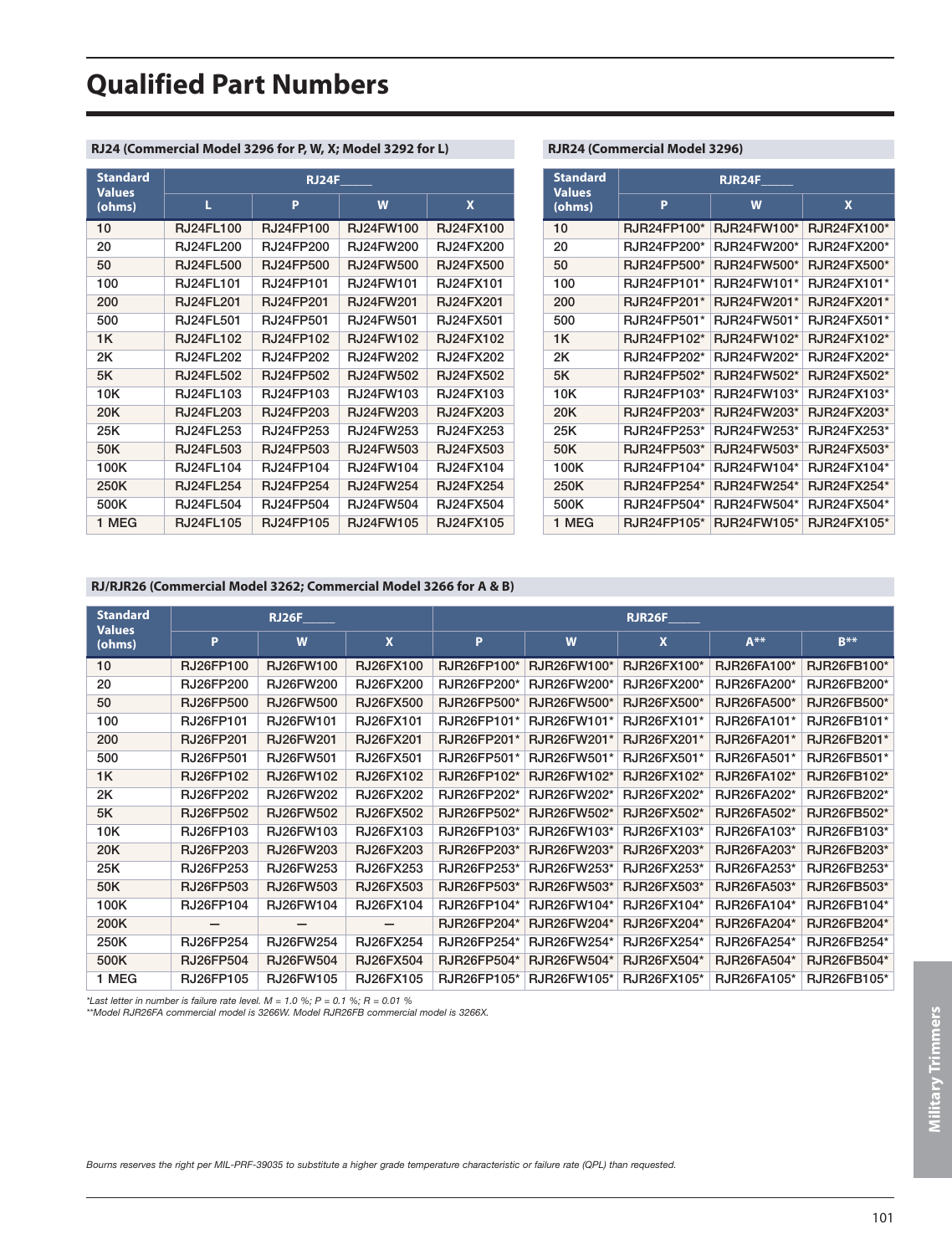## **Qualified Part Numbers**

#### **RJ24 (Commercial Model 3296 for P, W, X; Model 3292 for L)**

| <b>Standard</b><br><b>Values</b> | <b>RJ24F</b>     |                  |                  |                  |  |  |
|----------------------------------|------------------|------------------|------------------|------------------|--|--|
| (ohms)                           | L                | P                | W                | X                |  |  |
| 10                               | <b>RJ24FL100</b> | <b>RJ24FP100</b> | RJ24FW100        | <b>RJ24FX100</b> |  |  |
| 20                               | RJ24FL200        | <b>RJ24FP200</b> | <b>RJ24FW200</b> | RJ24FX200        |  |  |
| 50                               | <b>RJ24FL500</b> | <b>RJ24FP500</b> | RJ24FW500        | <b>RJ24FX500</b> |  |  |
| 100                              | RJ24FL101        | RJ24FP101        | RJ24FW101        | RJ24FX101        |  |  |
| 200                              | <b>RJ24FL201</b> | <b>RJ24FP201</b> | RJ24FW201        | RJ24FX201        |  |  |
| 500                              | <b>RJ24FL501</b> | <b>RJ24FP501</b> | RJ24FW501        | RJ24FX501        |  |  |
| 1K                               | <b>RJ24FL102</b> | RJ24FP102        | RJ24FW102        | <b>RJ24FX102</b> |  |  |
| 2K                               | <b>RJ24FL202</b> | <b>RJ24FP202</b> | RJ24FW202        | <b>RJ24FX202</b> |  |  |
| 5K                               | <b>RJ24FL502</b> | RJ24FP502        | RJ24FW502        | RJ24FX502        |  |  |
| 10K                              | RJ24FL103        | RJ24FP103        | RJ24FW103        | RJ24FX103        |  |  |
| 20K                              | RJ24FL203        | RJ24FP203        | RJ24FW203        | RJ24FX203        |  |  |
| 25K                              | RJ24FL253        | RJ24FP253        | RJ24FW253        | RJ24FX253        |  |  |
| 50K                              | <b>RJ24FL503</b> | RJ24FP503        | RJ24FW503        | RJ24FX503        |  |  |
| 100K                             | RJ24FL104        | RJ24FP104        | RJ24FW104        | RJ24FX104        |  |  |
| 250K                             | <b>RJ24FL254</b> | <b>RJ24FP254</b> | <b>RJ24FW254</b> | <b>RJ24FX254</b> |  |  |
| 500K                             | RJ24FL504        | RJ24FP504        | RJ24FW504        | RJ24FX504        |  |  |
| 1 MEG                            | <b>RJ24FL105</b> | RJ24FP105        | RJ24FW105        | <b>RJ24FX105</b> |  |  |

#### **RJR24 (Commercial Model 3296)**

| <b>Standard</b><br><b>Values</b> | <b>RJR24F</b>      |             |             |  |  |
|----------------------------------|--------------------|-------------|-------------|--|--|
| (ohms)                           | P                  | W           | X           |  |  |
| 10                               | RJR24FP100*        | RJR24FW100* | RJR24FX100* |  |  |
| 20                               | <b>RJR24FP200*</b> | RJR24FW200* | RJR24FX200* |  |  |
| 50                               | RJR24FP500*        | RJR24FW500* | RJR24FX500* |  |  |
| 100                              | RJR24FP101*        | RJR24FW101* | RJR24FX101* |  |  |
| 200                              | RJR24FP201*        | RJR24FW201* | RJR24FX201* |  |  |
| 500                              | RJR24FP501*        | RJR24FW501* | RJR24FX501* |  |  |
| 1K                               | RJR24FP102*        | RJR24FW102* | RJR24FX102* |  |  |
| 2K                               | <b>RJR24FP202*</b> | RJR24FW202* | RJR24FX202* |  |  |
| 5K                               | RJR24FP502*        | RJR24FW502* | RJR24FX502* |  |  |
| 10K                              | RJR24FP103*        | RJR24FW103* | RJR24FX103* |  |  |
| 20K                              | RJR24FP203*        | RJR24FW203* | RJR24FX203* |  |  |
| 25K                              | RJR24FP253*        | RJR24FW253* | RJR24FX253* |  |  |
| 50K                              | RJR24FP503*        | RJR24FW503* | RJR24FX503* |  |  |
| 100K                             | RJR24FP104*        | RJR24FW104* | RJR24FX104* |  |  |
| 250K                             | RJR24FP254*        | RJR24FW254* | RJR24FX254* |  |  |
| 500K                             | RJR24FP504*        | RJR24FW504* | RJR24FX504* |  |  |
| 1 MEG                            | RJR24FP105*        | RJR24FW105* | RJR24FX105* |  |  |

#### **RJ/RJR26 (Commercial Model 3262; Commercial Model 3266 for A & B)**

| <b>Standard</b><br><b>Values</b> | RJ26F            |                  |                  | RJR26F             |             |                           |                    |             |
|----------------------------------|------------------|------------------|------------------|--------------------|-------------|---------------------------|--------------------|-------------|
| (ohms)                           | P                | W                | $\mathbf{x}$     | P                  | W           | $\boldsymbol{\mathsf{x}}$ | $A***$             | $R**$       |
| 10                               | RJ26FP100        | RJ26FW100        | RJ26FX100        | RJR26FP100*        | RJR26FW100* | RJR26FX100*               | RJR26FA100*        | RJR26FB100* |
| 20                               | <b>RJ26FP200</b> | <b>RJ26FW200</b> | <b>RJ26FX200</b> | RJR26FP200*        | RJR26FW200* | RJR26FX200*               | RJR26FA200*        | RJR26FB200* |
| 50                               | <b>RJ26FP500</b> | <b>RJ26FW500</b> | <b>RJ26FX500</b> | <b>RJR26FP500*</b> | RJR26FW500* | <b>RJR26FX500*</b>        | <b>RJR26FA500*</b> | RJR26FB500* |
| 100                              | <b>RJ26FP101</b> | RJ26FW101        | RJ26FX101        | RJR26FP101*        | RJR26FW101* | RJR26FX101*               | RJR26FA101*        | RJR26FB101* |
| 200                              | <b>RJ26FP201</b> | <b>RJ26FW201</b> | <b>RJ26FX201</b> | RJR26FP201*        | RJR26FW201* | RJR26FX201*               | RJR26FA201*        | RJR26FB201* |
| 500                              | <b>RJ26FP501</b> | <b>RJ26FW501</b> | RJ26FX501        | RJR26FP501*        | RJR26FW501* | RJR26FX501*               | RJR26FA501*        | RJR26FB501* |
| 1K                               | <b>RJ26FP102</b> | RJ26FW102        | RJ26FX102        | RJR26FP102*        | RJR26FW102* | RJR26FX102*               | RJR26FA102*        | RJR26FB102* |
| 2K                               | RJ26FP202        | <b>RJ26FW202</b> | RJ26FX202        | RJR26FP202*        | RJR26FW202* | RJR26FX202*               | RJR26FA202*        | RJR26FB202* |
| 5K                               | <b>RJ26FP502</b> | <b>RJ26FW502</b> | <b>RJ26FX502</b> | RJR26FP502*        | RJR26FW502* | RJR26FX502*               | RJR26FA502*        | RJR26FB502* |
| 10K                              | RJ26FP103        | RJ26FW103        | RJ26FX103        | RJR26FP103*        | RJR26FW103* | RJR26FX103*               | RJR26FA103*        | RJR26FB103* |
| 20K                              | RJ26FP203        | RJ26FW203        | RJ26FX203        | RJR26FP203*        | RJR26FW203* | RJR26FX203*               | RJR26FA203*        | RJR26FB203* |
| 25K                              | RJ26FP253        | RJ26FW253        | RJ26FX253        | RJR26FP253*        | RJR26FW253* | RJR26FX253*               | RJR26FA253*        | RJR26FB253* |
| 50K                              | RJ26FP503        | RJ26FW503        | RJ26FX503        | RJR26FP503*        | RJR26FW503* | RJR26FX503*               | RJR26FA503*        | RJR26FB503* |
| 100K                             | RJ26FP104        | RJ26FW104        | RJ26FX104        | RJR26FP104*        | RJR26FW104* | RJR26FX104*               | RJR26FA104*        | RJR26FB104* |
| 200K                             |                  |                  |                  | RJR26FP204*        | RJR26FW204* | RJR26FX204*               | RJR26FA204*        | RJR26FB204* |
| 250K                             | <b>RJ26FP254</b> | RJ26FW254        | RJ26FX254        | RJR26FP254*        | RJR26FW254* | RJR26FX254*               | RJR26FA254*        | RJR26FB254* |
| 500K                             | <b>RJ26FP504</b> | <b>RJ26FW504</b> | <b>RJ26FX504</b> | RJR26FP504*        | RJR26FW504* | RJR26FX504*               | RJR26FA504*        | RJR26FB504* |
| 1 MEG                            | RJ26FP105        | RJ26FW105        | RJ26FX105        | RJR26FP105*        | RJR26FW105* | RJR26FX105*               | RJR26FA105*        | RJR26FB105* |

*\*Last letter in number is failure rate level. M = 1.0 %; P = 0.1 %; R = 0.01 % \*\*Model RJR26FA commercial model is 3266W. Model RJR26FB commercial model is 3266X.*

*Bourns reserves the right per MIL-PRF-39035 to substitute a higher grade temperature characteristic or failure rate (QPL) than requested.*